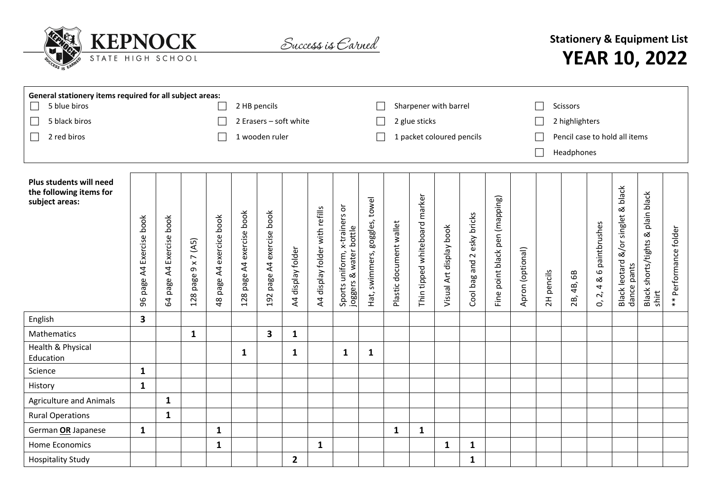

Success is Carned

## **Stationery & Equipment List YEAR 10, 2022**

| General stationery items required for all subject areas:             |                                            |                                               |                                                     |                                               |                                                   |                                 |                                  |                                |                                                         |                                     |                           |                                     |                            |                                       |                                   |                  |                               |                  |                                                                   |                                                                                 |                                                    |                           |  |
|----------------------------------------------------------------------|--------------------------------------------|-----------------------------------------------|-----------------------------------------------------|-----------------------------------------------|---------------------------------------------------|---------------------------------|----------------------------------|--------------------------------|---------------------------------------------------------|-------------------------------------|---------------------------|-------------------------------------|----------------------------|---------------------------------------|-----------------------------------|------------------|-------------------------------|------------------|-------------------------------------------------------------------|---------------------------------------------------------------------------------|----------------------------------------------------|---------------------------|--|
| 5 blue biros                                                         |                                            |                                               |                                                     |                                               |                                                   | 2 HB pencils                    |                                  |                                |                                                         |                                     |                           | Sharpener with barrel               |                            |                                       |                                   |                  |                               | Scissors         |                                                                   |                                                                                 |                                                    |                           |  |
| 5 black biros                                                        |                                            |                                               |                                                     |                                               |                                                   | 2 Erasers - soft white          |                                  |                                |                                                         |                                     |                           | 2 glue sticks                       |                            |                                       |                                   |                  | 2 highlighters                |                  |                                                                   |                                                                                 |                                                    |                           |  |
| 2 red biros<br>$\mathsf{L}$                                          |                                            |                                               |                                                     |                                               | 1 wooden ruler                                    |                                 |                                  |                                |                                                         |                                     | 1 packet coloured pencils |                                     |                            |                                       |                                   |                  | Pencil case to hold all items |                  |                                                                   |                                                                                 |                                                    |                           |  |
|                                                                      |                                            |                                               |                                                     |                                               |                                                   |                                 |                                  |                                |                                                         |                                     |                           |                                     | Headphones<br>$\mathbf{L}$ |                                       |                                   |                  |                               |                  |                                                                   |                                                                                 |                                                    |                           |  |
|                                                                      |                                            |                                               |                                                     |                                               |                                                   |                                 |                                  |                                |                                                         |                                     |                           |                                     |                            |                                       |                                   |                  |                               |                  |                                                                   |                                                                                 |                                                    |                           |  |
| Plus students will need<br>the following items for<br>subject areas: | Exercise book<br>$\overline{4}$<br>96 page | Exercise book<br>$\overline{A}$<br>page<br>64 | 7 (A5)<br>$\pmb{\times}$<br>$\sigma$<br>page<br>128 | exercice book<br>$\overline{A}$<br>page<br>48 | book<br>exercise<br>$\overline{A}$<br>page<br>128 | A4 exercise book<br>page<br>192 | display folder<br>$\overline{4}$ | A4 display folder with refills | Sports uniform, x-trainers or<br>joggers & water bottle | goggles, towel<br>swimmers,<br>Hat, | Plastic document wallet   | marker<br>whiteboard<br>Thin tipped | Visual Art display book    | esky bricks<br>$\sim$<br>Cool bag and | point black pen (mapping)<br>Fine | Apron (optional) | pencils<br>2H                 | 68<br>4B,<br>2B, | paintbrushes<br>$\mathbf \omega$<br>ಹ<br>4<br>$\mathcal{L}$<br>Ò, | black<br>singlet &<br>$\frac{8}{\alpha}$<br><b>Black leotard</b><br>dance pants | plain black<br>shorts/tights &<br>Black :<br>shirt | Performance folder<br>$*$ |  |
| English                                                              | 3                                          |                                               |                                                     |                                               |                                                   |                                 |                                  |                                |                                                         |                                     |                           |                                     |                            |                                       |                                   |                  |                               |                  |                                                                   |                                                                                 |                                                    |                           |  |
| Mathematics                                                          |                                            |                                               | $\mathbf{1}$                                        |                                               |                                                   | $\overline{\mathbf{3}}$         | $\mathbf{1}$                     |                                |                                                         |                                     |                           |                                     |                            |                                       |                                   |                  |                               |                  |                                                                   |                                                                                 |                                                    |                           |  |
| Health & Physical<br>Education                                       |                                            |                                               |                                                     |                                               | $\mathbf{1}$                                      |                                 | 1                                |                                | $\mathbf{1}$                                            | $\mathbf{1}$                        |                           |                                     |                            |                                       |                                   |                  |                               |                  |                                                                   |                                                                                 |                                                    |                           |  |
| Science                                                              | $\mathbf{1}$                               |                                               |                                                     |                                               |                                                   |                                 |                                  |                                |                                                         |                                     |                           |                                     |                            |                                       |                                   |                  |                               |                  |                                                                   |                                                                                 |                                                    |                           |  |
| History                                                              | $\mathbf{1}$                               |                                               |                                                     |                                               |                                                   |                                 |                                  |                                |                                                         |                                     |                           |                                     |                            |                                       |                                   |                  |                               |                  |                                                                   |                                                                                 |                                                    |                           |  |
| <b>Agriculture and Animals</b>                                       |                                            | $\mathbf{1}$                                  |                                                     |                                               |                                                   |                                 |                                  |                                |                                                         |                                     |                           |                                     |                            |                                       |                                   |                  |                               |                  |                                                                   |                                                                                 |                                                    |                           |  |
| <b>Rural Operations</b>                                              |                                            | $\mathbf{1}$                                  |                                                     |                                               |                                                   |                                 |                                  |                                |                                                         |                                     |                           |                                     |                            |                                       |                                   |                  |                               |                  |                                                                   |                                                                                 |                                                    |                           |  |
| German OR Japanese                                                   | $\mathbf{1}$                               |                                               |                                                     | $\mathbf{1}$                                  |                                                   |                                 |                                  |                                |                                                         |                                     | $\mathbf{1}$              | $\mathbf{1}$                        |                            |                                       |                                   |                  |                               |                  |                                                                   |                                                                                 |                                                    |                           |  |
| <b>Home Economics</b>                                                |                                            |                                               |                                                     | $\mathbf{1}$                                  |                                                   |                                 |                                  | $\mathbf{1}$                   |                                                         |                                     |                           |                                     | $\mathbf{1}$               | $\mathbf{1}$                          |                                   |                  |                               |                  |                                                                   |                                                                                 |                                                    |                           |  |
| <b>Hospitality Study</b>                                             |                                            |                                               |                                                     |                                               |                                                   |                                 | $\overline{\mathbf{2}}$          |                                |                                                         |                                     |                           |                                     |                            | $\mathbf{1}$                          |                                   |                  |                               |                  |                                                                   |                                                                                 |                                                    |                           |  |